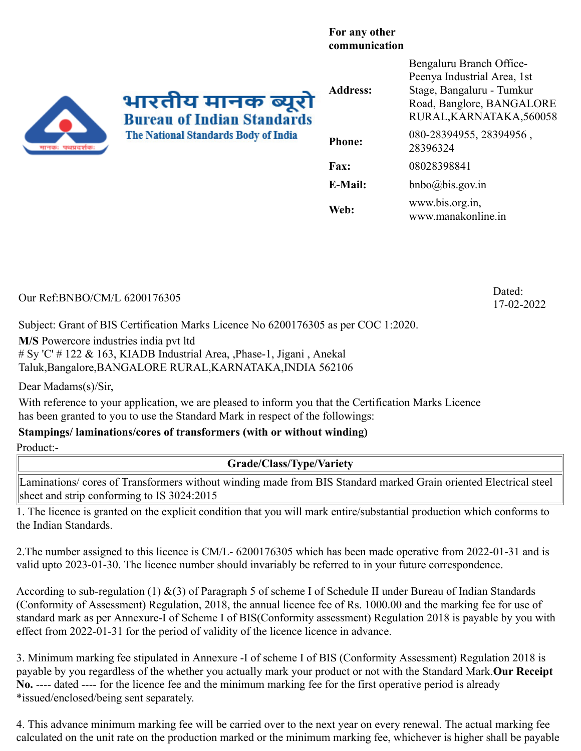## **For any other communication**

भारतीय मानक ब्यूरो **Bureau of Indian Standards The National Standards Body of India** 

| <b>Address:</b> | Bengaluru Branch Office-<br>Peenya Industrial Area, 1st<br>Stage, Bangaluru - Tumkur<br>Road, Banglore, BANGALORE<br>RURAL, KARNATAKA, 560058 |
|-----------------|-----------------------------------------------------------------------------------------------------------------------------------------------|
| <b>Phone:</b>   | 080-28394955, 28394956,<br>28396324                                                                                                           |
| <b>Fax:</b>     | 08028398841                                                                                                                                   |
| <b>E-Mail:</b>  | $bnbo(a)b$ is.gov.in                                                                                                                          |
| Web:            | www.bis.org.in,<br>www.manakonline.in                                                                                                         |

Our Ref:BNBO/CM/L 6200176305 Dated:

17-02-2022

Subject: Grant of BIS Certification Marks Licence No 6200176305 as per COC 1:2020.

**M/S** Powercore industries india pvt ltd # Sy 'C' # 122 & 163, KIADB Industrial Area, ,Phase-1, Jigani , Anekal Taluk,Bangalore,BANGALORE RURAL,KARNATAKA,INDIA 562106

Dear Madams(s)/Sir,

With reference to your application, we are pleased to inform you that the Certification Marks Licence has been granted to you to use the Standard Mark in respect of the followings:

## **Stampings/ laminations/cores of transformers (with or without winding)**

Product:-

## **Grade/Class/Type/Variety**

Laminations/ cores of Transformers without winding made from BIS Standard marked Grain oriented Electrical steel sheet and strip conforming to IS 3024:2015

1. The licence is granted on the explicit condition that you will mark entire/substantial production which conforms to the Indian Standards.

2.The number assigned to this licence is CM/L- 6200176305 which has been made operative from 2022-01-31 and is valid upto 2023-01-30. The licence number should invariably be referred to in your future correspondence.

According to sub-regulation (1) &(3) of Paragraph 5 of scheme I of Schedule II under Bureau of Indian Standards (Conformity of Assessment) Regulation, 2018, the annual licence fee of Rs. 1000.00 and the marking fee for use of standard mark as per Annexure-I of Scheme I of BIS(Conformity assessment) Regulation 2018 is payable by you with effect from 2022-01-31 for the period of validity of the licence licence in advance.

3. Minimum marking fee stipulated in Annexure -I of scheme I of BIS (Conformity Assessment) Regulation 2018 is payable by you regardless of the whether you actually mark your product or not with the Standard Mark.**Our Receipt No.** ---- dated ---- for the licence fee and the minimum marking fee for the first operative period is already \*issued/enclosed/being sent separately.

4. This advance minimum marking fee will be carried over to the next year on every renewal. The actual marking fee calculated on the unit rate on the production marked or the minimum marking fee, whichever is higher shall be payable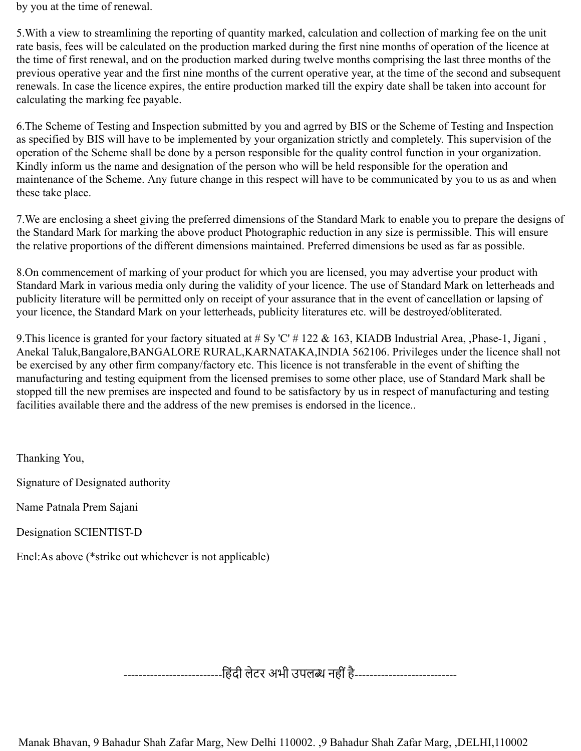by you at the time of renewal.

5.With a view to streamlining the reporting of quantity marked, calculation and collection of marking fee on the unit rate basis, fees will be calculated on the production marked during the first nine months of operation of the licence at the time of first renewal, and on the production marked during twelve months comprising the last three months of the previous operative year and the first nine months of the current operative year, at the time of the second and subsequent renewals. In case the licence expires, the entire production marked till the expiry date shall be taken into account for calculating the marking fee payable.

6.The Scheme of Testing and Inspection submitted by you and agrred by BIS or the Scheme of Testing and Inspection as specified by BIS will have to be implemented by your organization strictly and completely. This supervision of the operation of the Scheme shall be done by a person responsible for the quality control function in your organization. Kindly inform us the name and designation of the person who will be held responsible for the operation and maintenance of the Scheme. Any future change in this respect will have to be communicated by you to us as and when these take place.

7.We are enclosing a sheet giving the preferred dimensions of the Standard Mark to enable you to prepare the designs of the Standard Mark for marking the above product Photographic reduction in any size is permissible. This will ensure the relative proportions of the different dimensions maintained. Preferred dimensions be used as far as possible.

8.On commencement of marking of your product for which you are licensed, you may advertise your product with Standard Mark in various media only during the validity of your licence. The use of Standard Mark on letterheads and publicity literature will be permitted only on receipt of your assurance that in the event of cancellation or lapsing of your licence, the Standard Mark on your letterheads, publicity literatures etc. will be destroyed/obliterated.

9. This licence is granted for your factory situated at # Sy 'C' # 122 & 163, KIADB Industrial Area, ,Phase-1, Jigani, Anekal Taluk,Bangalore,BANGALORE RURAL,KARNATAKA,INDIA 562106. Privileges under the licence shall not be exercised by any other firm company/factory etc. This licence is not transferable in the event of shifting the manufacturing and testing equipment from the licensed premises to some other place, use of Standard Mark shall be stopped till the new premises are inspected and found to be satisfactory by us in respect of manufacturing and testing facilities available there and the address of the new premises is endorsed in the licence..

Thanking You,

Signature of Designated authority

Name Patnala Prem Sajani

Designation SCIENTIST-D

Encl:As above (\*strike out whichever is not applicable)

------------------------------हिंदी लेटर अभी उपलब्ध नहीं है----------------------------

Manak Bhavan, 9 Bahadur Shah Zafar Marg, New Delhi 110002. ,9 Bahadur Shah Zafar Marg, ,DELHI,110002